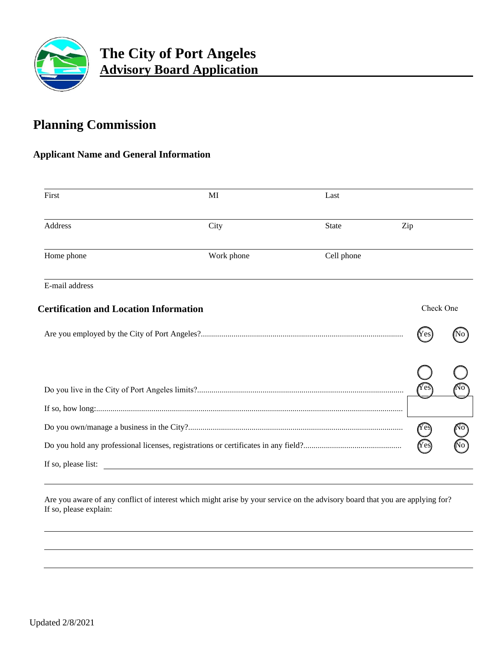

## **Planning Commission**

### **Applicant Name and General Information**

| First                                         | MI                                                 | Last         |                     |           |  |
|-----------------------------------------------|----------------------------------------------------|--------------|---------------------|-----------|--|
| <b>Address</b>                                | City                                               | <b>State</b> | Zip                 |           |  |
| Home phone                                    | Work phone                                         | Cell phone   |                     |           |  |
| E-mail address                                |                                                    |              |                     |           |  |
| <b>Certification and Location Information</b> |                                                    |              |                     | Check One |  |
|                                               |                                                    |              | IY es               |           |  |
|                                               |                                                    |              |                     |           |  |
|                                               |                                                    |              |                     |           |  |
|                                               |                                                    |              |                     |           |  |
|                                               |                                                    |              | $(Y \widehat{e} s)$ |           |  |
|                                               |                                                    |              |                     |           |  |
| If so, please list:                           | <u> 1989 - John Stein, Amerikaansk politiker (</u> |              |                     |           |  |

Are you aware of any conflict of interest which might arise by your service on the advisory board that you are applying for? If so, please explain: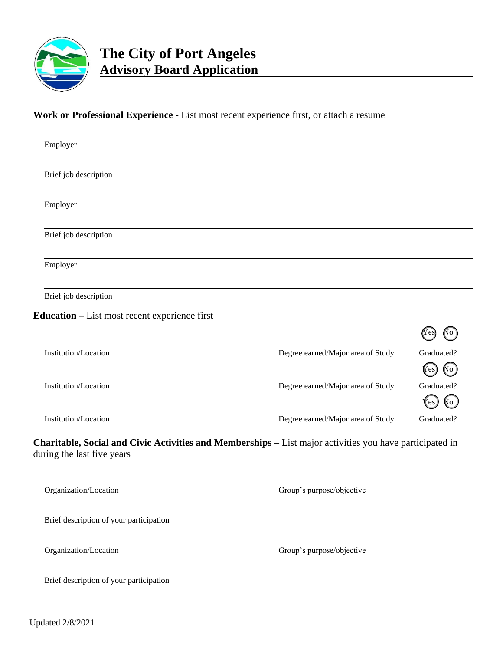

# **The City of Port Angeles Advisory Board Application**

### **Work or Professional Experience** - List most recent experience first, or attach a resume

| Employer                                      |                                                                                                          |            |
|-----------------------------------------------|----------------------------------------------------------------------------------------------------------|------------|
| Brief job description                         |                                                                                                          |            |
| Employer                                      |                                                                                                          |            |
| Brief job description                         |                                                                                                          |            |
| Employer                                      |                                                                                                          |            |
| Brief job description                         |                                                                                                          |            |
| Education - List most recent experience first |                                                                                                          |            |
|                                               |                                                                                                          |            |
| Institution/Location                          | Degree earned/Major area of Study                                                                        | Graduated? |
|                                               |                                                                                                          | No<br>Yes  |
| Institution/Location                          | Degree earned/Major area of Study                                                                        | Graduated? |
|                                               |                                                                                                          | Ņо<br>'es  |
| Institution/Location                          | Degree earned/Major area of Study                                                                        | Graduated? |
| during the last five years                    | Charitable, Social and Civic Activities and Memberships - List major activities you have participated in |            |
| Organization/Location                         | Group's purpose/objective                                                                                |            |
| Brief description of your participation       |                                                                                                          |            |
| Organization/Location                         | Group's purpose/objective                                                                                |            |
| Brief description of your participation       |                                                                                                          |            |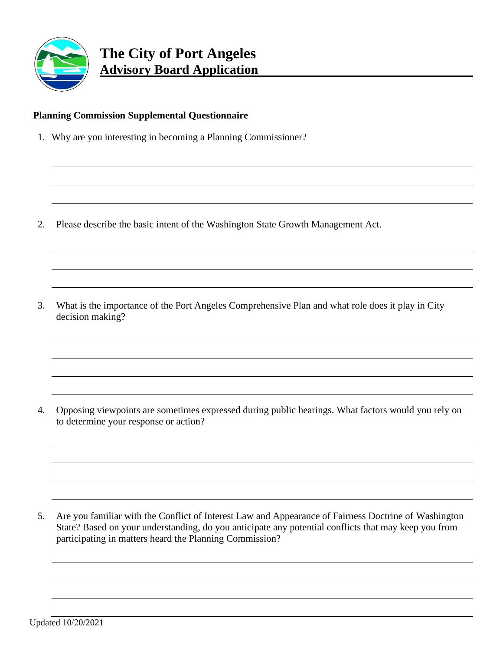

#### **Planning Commission Supplemental Questionnaire**

1. Why are you interesting in becoming a Planning Commissioner?

2. Please describe the basic intent of the Washington State Growth Management Act.

3. What is the importance of the Port Angeles Comprehensive Plan and what role does it play in City decision making?

4. Opposing viewpoints are sometimes expressed during public hearings. What factors would you rely on to determine your response or action?

5. Are you familiar with the Conflict of Interest Law and Appearance of Fairness Doctrine of Washington State? Based on your understanding, do you anticipate any potential conflicts that may keep you from participating in matters heard the Planning Commission?